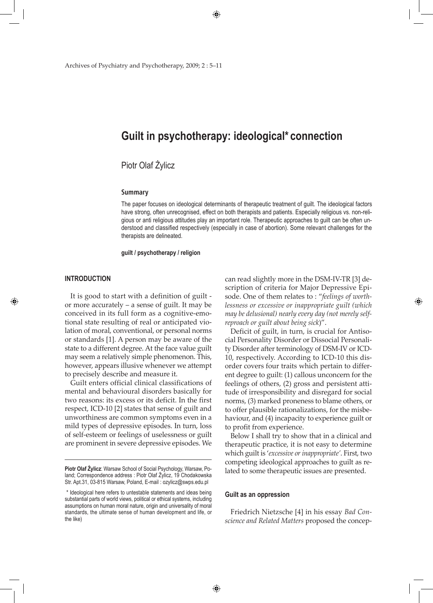# **Guilt in psychotherapy: ideological\* connection**

# Piotr Olaf Żylicz

#### **Summary**

The paper focuses on ideological determinants of therapeutic treatment of guilt. The ideological factors have strong, often unrecognised, effect on both therapists and patients. Especially religious vs. non-religious or anti religious attitudes play an important role. Therapeutic approaches to guilt can be often understood and classified respectively (especially in case of abortion). Some relevant challenges for the therapists are delineated.

**guilt / psychotherapy / religion**

#### **INTRODUCTION**

⊕

It is good to start with a definition of guilt or more accurately – a sense of guilt. It may be conceived in its full form as a cognitive-emotional state resulting of real or anticipated violation of moral, conventional, or personal norms or standards [1]. A person may be aware of the state to a different degree. At the face value guilt may seem a relatively simple phenomenon. This, however, appears illusive whenever we attempt to precisely describe and measure it.

Guilt enters official clinical classifications of mental and behavioural disorders basically for two reasons: its excess or its deficit. In the first respect, ICD-10 [2] states that sense of guilt and unworthiness are common symptoms even in a mild types of depressive episodes. In turn, loss of self-esteem or feelings of uselessness or guilt are prominent in severe depressive episodes. We

can read slightly more in the DSM-IV-TR [3] description of criteria for Major Depressive Episode. One of them relates to : "*feelings of worthlessness or excessive or inappropriate guilt (which may be delusional) nearly every day (not merely selfreproach or guilt about being sick*)".

⊕

Deficit of guilt, in turn, is crucial for Antisocial Personality Disorder or Dissocial Personality Disorder after terminology of DSM-IV or ICD-10, respectively. According to ICD-10 this disorder covers four traits which pertain to different degree to guilt: (1) callous unconcern for the feelings of others, (2) gross and persistent attitude of irresponsibility and disregard for social norms, (3) marked proneness to blame others, or to offer plausible rationalizations, for the misbehaviour, and (4) incapacity to experience guilt or to profit from experience.

Below I shall try to show that in a clinical and therapeutic practice, it is not easy to determine which guilt is '*excessive or inappropriate'*. First, two competing ideological approaches to guilt as related to some therapeutic issues are presented.

#### **Guilt as an oppression**

Friedrich Nietzsche [4] in his essay *Bad Conscience and Related Matters* proposed the concep-

**Piotr Olaf Żylicz**: Warsaw School of Social Psychology, Warsaw, Poland; Correspondence address : Piotr Olaf Żylicz, 19 Chodakowska Str. Apt.31, 03-815 Warsaw, Poland, E-mail : ozylicz@swps.edu.pl

<sup>\*</sup> Ideological here refers to untestable statements and ideas being substantial parts of world views, political or ethical systems, including assumptions on human moral nature, origin and universality of moral standards, the ultimate sense of human development and life, or the like)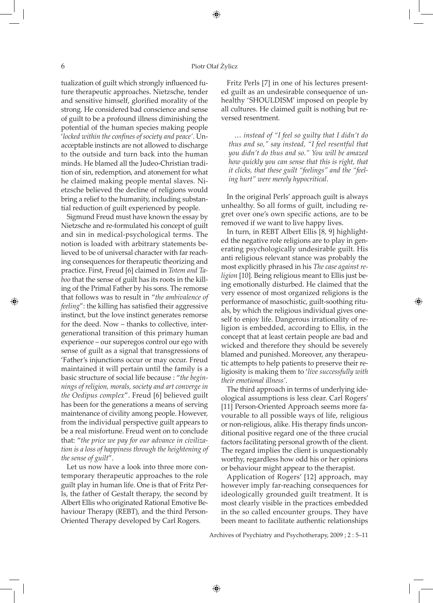## 6 Piotr Olaf Żylicz

⊕

tualization of guilt which strongly influenced future therapeutic approaches. Nietzsche, tender and sensitive himself, glorified morality of the strong. He considered bad conscience and sense of guilt to be a profound illness diminishing the potential of the human species making people '*locked within the confines of society and peace'*. Unacceptable instincts are not allowed to discharge to the outside and turn back into the human minds. He blamed all the Judeo-Christian tradition of sin, redemption, and atonement for what he claimed making people mental slaves. Nietzsche believed the decline of religions would bring a relief to the humanity, including substantial reduction of guilt experienced by people.

Sigmund Freud must have known the essay by Nietzsche and re-formulated his concept of guilt and sin in medical-psychological terms. The notion is loaded with arbitrary statements believed to be of universal character with far reaching consequences for therapeutic theorizing and practice. First, Freud [6] claimed in *Totem and Taboo* that the sense of guilt has its roots in the killing of the Primal Father by his sons. The remorse that follows was to result in "*the ambivalence of feeling*": the killing has satisfied their aggressive instinct, but the love instinct generates remorse for the deed. Now – thanks to collective, intergenerational transition of this primary human experience – our superegos control our ego with sense of guilt as a signal that transgressions of 'Father's injunctions occur or may occur. Freud maintained it will pertain until the family is a basic structure of social life because : "*the beginnings of religion, morals, society and art converge in the Oedipus complex*". Freud [6] believed guilt has been for the generations a means of serving maintenance of civility among people. However, from the individual perspective guilt appears to be a real misfortune. Freud went on to conclude that: "*the price we pay for our advance in civilization is a loss of happiness through the heightening of the sense of guilt*".

Let us now have a look into three more contemporary therapeutic approaches to the role guilt play in human life. One is that of Fritz Perls, the father of Gestalt therapy, the second by Albert Ellis who originated Rational Emotive Behaviour Therapy (REBT), and the third Person-Oriented Therapy developed by Carl Rogers.

Fritz Perls [7] in one of his lectures presented guilt as an undesirable consequence of unhealthy 'SHOULDISM' imposed on people by all cultures. He claimed guilt is nothing but reversed resentment*.*

… *instead of "I feel so guilty that I didn't do thus and so," say instead, "I feel resentful that you didn't do thus and so." You will be amazed how quickly you can sense that this is right, that it clicks, that these guilt "feelings" and the "feeling hurt" were merely hypocritical*.

In the original Perls' approach guilt is always unhealthy. So all forms of guilt, including regret over one's own specific actions, are to be removed if we want to live happy lives.

In turn, in REBT Albert Ellis [8, 9] highlighted the negative role religions are to play in generating psychologically undesirable guilt. His anti religious relevant stance was probably the most explicitly phrased in his *The case against religion* [10]. Being religious meant to Ellis just being emotionally disturbed. He claimed that the very essence of most organized religions is the performance of masochistic, guilt-soothing rituals, by which the religious individual gives oneself to enjoy life. Dangerous irrationality of religion is embedded, according to Ellis, in the concept that at least certain people are bad and wicked and therefore they should be severely blamed and punished. Moreover, any therapeutic attempts to help patients to preserve their religiosity is making them to '*live successfully with their emotional illness'*.

⊕

The third approach in terms of underlying ideological assumptions is less clear. Carl Rogers' [11] Person-Oriented Approach seems more favourable to all possible ways of life, religious or non-religious, alike. His therapy finds unconditional positive regard one of the three crucial factors facilitating personal growth of the client. The regard implies the client is unquestionably worthy, regardless how odd his or her opinions or behaviour might appear to the therapist.

Application of Rogers' [12] approach, may however imply far-reaching consequences for ideologically grounded guilt treatment. It is most clearly visible in the practices embedded in the so called encounter groups. They have been meant to facilitate authentic relationships

Archives of Psychiatry and Psychotherapy, 2009 ; 2 : 5–11

⊕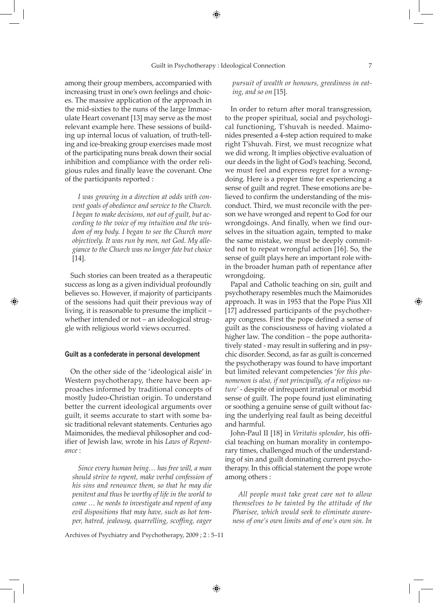among their group members, accompanied with increasing trust in one's own feelings and choices. The massive application of the approach in the mid-sixties to the nuns of the large Immaculate Heart covenant [13] may serve as the most relevant example here. These sessions of building up internal locus of valuation, of truth-telling and ice-breaking group exercises made most of the participating nuns break down their social inhibition and compliance with the order religious rules and finally leave the covenant. One of the participants reported :

*I was growing in a direction at odds with convent goals of obedience and service to the Church. I began to make decisions, not out of guilt, but according to the voice of my intuition and the wisdom of my body. I began to see the Church more objectively. It was run by men, not God. My allegiance to the Church was no longer fate but choice* [14].

Such stories can been treated as a therapeutic success as long as a given individual profoundly believes so. However, if majority of participants of the sessions had quit their previous way of living, it is reasonable to presume the implicit – whether intended or not – an ideological struggle with religious world views occurred.

⊕

#### **Guilt as a confederate in personal development**

On the other side of the 'ideological aisle' in Western psychotherapy, there have been approaches informed by traditional concepts of mostly Judeo-Christian origin. To understand better the current ideological arguments over guilt, it seems accurate to start with some basic traditional relevant statements. Centuries ago Maimonides, the medieval philosopher and codifier of Jewish law, wrote in his *Laws of Repentance* :

*Since every human being… has free will, a man should strive to repent, make verbal confession of his sins and renounce them, so that he may die penitent and thus be worthy of life in the world to come … he needs to investigate and repent of any evil dispositions that may have, such as hot temper, hatred, jealousy, quarrelling, scoffing, eager* 

Archives of Psychiatry and Psychotherapy, 2009 ; 2 : 5–11

⊕

*pursuit of wealth or honours, greediness in eating, and so on* [15].

In order to return after moral transgression, to the proper spiritual, social and psychological functioning, T'shuvah is needed. Maimonides presented a 4-step action required to make right T'shuvah. First, we must recognize what we did wrong. It implies objective evaluation of our deeds in the light of God's teaching. Second, we must feel and express regret for a wrongdoing. Here is a proper time for experiencing a sense of guilt and regret. These emotions are believed to confirm the understanding of the misconduct. Third, we must reconcile with the person we have wronged and repent to God for our wrongdoings. And finally, when we find ourselves in the situation again, tempted to make the same mistake, we must be deeply committed not to repeat wrongful action [16]. So, the sense of guilt plays here an important role within the broader human path of repentance after wrongdoing.

Papal and Catholic teaching on sin, guilt and psychotherapy resembles much the Maimonides approach. It was in 1953 that the Pope Pius XII [17] addressed participants of the psychotherapy congress. First the pope defined a sense of guilt as the consciousness of having violated a higher law. The condition – the pope authoritatively stated - may result in suffering and in psychic disorder. Second, as far as guilt is concerned the psychotherapy was found to have important but limited relevant competencies '*for this phenomenon is also, if not principally, of a religious nature'* - despite of infrequent irrational or morbid sense of guilt. The pope found just eliminating or soothing a genuine sense of guilt without facing the underlying real fault as being deceitful and harmful.

John-Paul II [18] in *Veritatis splendor*, his official teaching on human morality in contemporary times, challenged much of the understanding of sin and guilt dominating current psychotherapy. In this official statement the pope wrote among others :

*All people must take great care not to allow themselves to be tainted by the attitude of the Pharisee, which would seek to eliminate awareness of one's own limits and of one's own sin. In*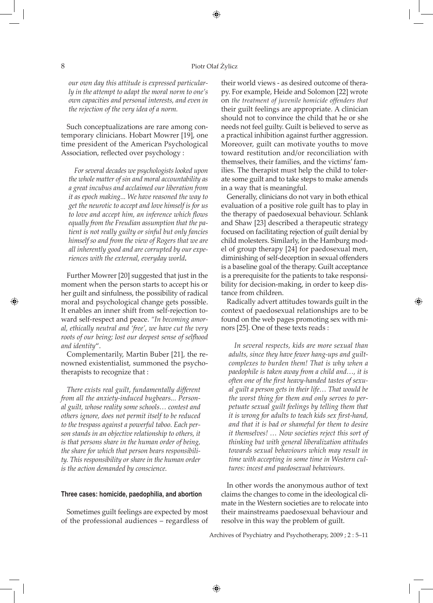#### 8 Piotr Olaf Żylicz

 $\bigoplus$ 

*our own day this attitude is expressed particularly in the attempt to adapt the moral norm to one's own capacities and personal interests, and even in the rejection of the very idea of a norm.*

Such conceptualizations are rare among contemporary clinicians. Hobart Mowrer [19], one time president of the American Psychological Association, reflected over psychology :

*For several decades we psychologists looked upon the whole matter of sin and moral accountability as a great incubus and acclaimed our liberation from it as epoch making... We have reasoned the way to get the neurotic to accept and love himself is for us to love and accept him, an inference which flows equally from the Freudian assumption that the patient is not really guilty or sinful but only fancies himself so and from the view of Rogers that we are all inherently good and are corrupted by our experiences with the external, everyday world.*

Further Mowrer [20] suggested that just in the moment when the person starts to accept his or her guilt and sinfulness, the possibility of radical moral and psychological change gets possible. It enables an inner shift from self-rejection toward self-respect and peace. *"In becoming amoral, ethically neutral and 'free', we have cut the very roots of our being; lost our deepest sense of selfhood and identity*".

Complementarily, Martin Buber [21], the renowned existentialist, summoned the psychotherapists to recognize that :

*There exists real guilt*, *fundamentally different from all the anxiety-induced bugbears... Personal guilt, whose reality some schools… contest and others ignore, does not permit itself to be reduced to the trespass against a powerful taboo. Each person stands in an objective relationship to others, it is that persons share in the human order of being, the share for which that person bears responsibility. This responsibility or share in the human order is the action demanded by conscience.*

#### **Three cases: homicide, paedophilia, and abortion**

Sometimes guilt feelings are expected by most of the professional audiences – regardless of their world views - as desired outcome of therapy. For example, Heide and Solomon [22] wrote on *the treatment of juvenile homicide offenders that*  their guilt feelings are appropriate. A clinician should not to convince the child that he or she needs not feel guilty. Guilt is believed to serve as a practical inhibition against further aggression. Moreover, guilt can motivate youths to move toward restitution and/or reconciliation with themselves, their families, and the victims' families. The therapist must help the child to tolerate some guilt and to take steps to make amends in a way that is meaningful.

Generally, clinicians do not vary in both ethical evaluation of a positive role guilt has to play in the therapy of paedosexual behaviour. Schlank and Shaw [23] described a therapeutic strategy focused on facilitating rejection of guilt denial by child molesters. Similarly, in the Hamburg model of group therapy [24] for paedosexual men, diminishing of self-deception in sexual offenders is a baseline goal of the therapy. Guilt acceptance is a prerequisite for the patients to take responsibility for decision-making, in order to keep distance from children.

Radically advert attitudes towards guilt in the context of paedosexual relationships are to be found on the web pages promoting sex with minors [25]. One of these texts reads :

⊕

*In several respects, kids are more sexual than adults, since they have fewer hang-ups and guiltcomplexes to burden them! That is why when a paedophile is taken away from a child and…, it is often one of the first heavy-handed tastes of sexual guilt a person gets in their life… That would be the worst thing for them and only serves to perpetuate sexual guilt feelings by telling them that it is wrong for adults to teach kids sex first-hand, and that it is bad or shameful for them to desire it themselves! … Now societies reject this sort of thinking but with general liberalization attitudes towards sexual behaviours which may result in time with accepting in some time in Western cultures: incest and paedosexual behaviours.*

In other words the anonymous author of text claims the changes to come in the ideological climate in the Western societies are to relocate into their mainstreams paedosexual behaviour and resolve in this way the problem of guilt.

Archives of Psychiatry and Psychotherapy, 2009 ; 2 : 5–11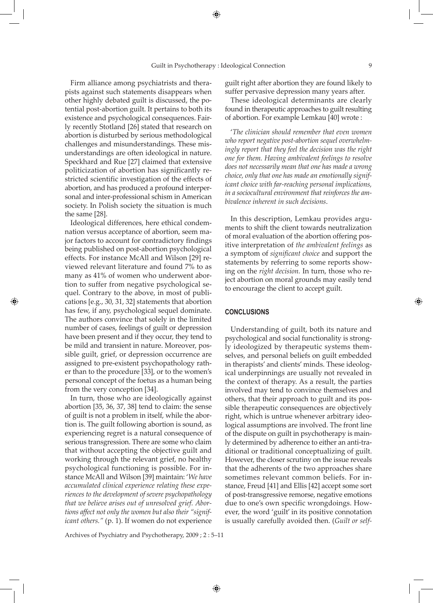⊕

Firm alliance among psychiatrists and therapists against such statements disappears when other highly debated guilt is discussed, the potential post-abortion guilt. It pertains to both its existence and psychological consequences. Fairly recently Stotland [26] stated that research on abortion is disturbed by serious methodological challenges and misunderstandings. These misunderstandings are often ideological in nature. Speckhard and Rue [27] claimed that extensive politicization of abortion has significantly restricted scientific investigation of the effects of abortion, and has produced a profound interpersonal and inter-professional schism in American society. In Polish society the situation is much the same [28].

Ideological differences, here ethical condemnation versus acceptance of abortion, seem major factors to account for contradictory findings being published on post-abortion psychological effects. For instance McAll and Wilson [29] reviewed relevant literature and found 7% to as many as 41% of women who underwent abortion to suffer from negative psychological sequel. Contrary to the above, in most of publications [e.g., 30, 31, 32] statements that abortion has few, if any, psychological sequel dominate. The authors convince that solely in the limited number of cases, feelings of guilt or depression have been present and if they occur, they tend to be mild and transient in nature. Moreover, possible guilt, grief, or depression occurrence are assigned to pre-existent psychopathology rather than to the procedure [33], or to the women's personal concept of the foetus as a human being from the very conception [34].

⊕

In turn, those who are ideologically against abortion [35, 36, 37, 38] tend to claim: the sense of guilt is not a problem in itself, while the abortion is. The guilt following abortion is sound, as experiencing regret is a natural consequence of serious transgression. There are some who claim that without accepting the objective guilt and working through the relevant grief, no healthy psychological functioning is possible. For instance McAll and Wilson [39] maintain: '*We have accumulated clinical experience relating these experiences to the development of severe psychopathology that we believe arises out of unresolved grief. Abortions affect not only the women but also their "significant others."* (p. 1). If women do not experience

Archives of Psychiatry and Psychotherapy, 2009 ; 2 : 5–11

guilt right after abortion they are found likely to suffer pervasive depression many years after.

These ideological determinants are clearly found in therapeutic approaches to guilt resulting of abortion. For example Lemkau [40] wrote :

'*The clinician should remember that even women who report negative post-abortion sequel overwhelmingly report that they feel the decision was the right one for them. Having ambivalent feelings to resolve does not necessarily mean that one has made a wrong choice, only that one has made an emotionally significant choice with far-reaching personal implications, in a sociocultural environment that reinforces the ambivalence inherent in such decisions*.

In this description, Lemkau provides arguments to shift the client towards neutralization of moral evaluation of the abortion offering positive interpretation of *the ambivalent feelings* as a symptom of *significant choice* and support the statements by referring to some reports showing on the *right decision.* In turn, those who reject abortion on moral grounds may easily tend to encourage the client to accept guilt.

## **CONCLUSIONS**

Understanding of guilt, both its nature and psychological and social functionality is strongly ideologized by therapeutic systems themselves, and personal beliefs on guilt embedded in therapists' and clients' minds. These ideological underpinnings are usually not revealed in the context of therapy. As a result, the parties involved may tend to convince themselves and others, that their approach to guilt and its possible therapeutic consequences are objectively right, which is untrue whenever arbitrary ideological assumptions are involved. The front line of the dispute on guilt in psychotherapy is mainly determined by adherence to either an anti-traditional or traditional conceptualizing of guilt. However, the closer scrutiny on the issue reveals that the adherents of the two approaches share sometimes relevant common beliefs. For instance, Freud [41] and Ellis [42] accept some sort of post-transgressive remorse, negative emotions due to one's own specific wrongdoings. However, the word 'guilt' in its positive connotation is usually carefully avoided then. (*Guilt or self-*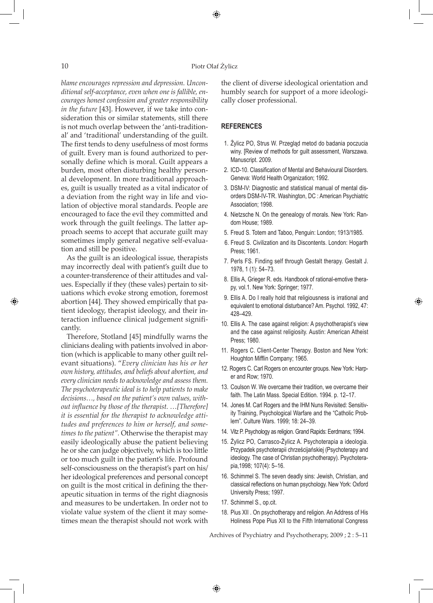### 10 Piotr Olaf Żylicz

 $\bigoplus$ 

*blame encourages repression and depression. Unconditional self-acceptance, even when one is fallible, encourages honest confession and greater responsibility in the future* [43]. However, if we take into consideration this or similar statements, still there is not much overlap between the 'anti-traditional' and 'traditional' understanding of the guilt. The first tends to deny usefulness of most forms of guilt. Every man is found authorized to personally define which is moral. Guilt appears a burden, most often disturbing healthy personal development. In more traditional approaches, guilt is usually treated as a vital indicator of a deviation from the right way in life and violation of objective moral standards. People are encouraged to face the evil they committed and work through the guilt feelings. The latter approach seems to accept that accurate guilt may sometimes imply general negative self-evaluation and still be positive.

As the guilt is an ideological issue, therapists may incorrectly deal with patient's guilt due to a counter-transference of their attitudes and values. Especially if they (these vales) pertain to situations which evoke strong emotion, foremost abortion [44]. They showed empirically that patient ideology, therapist ideology, and their interaction influence clinical judgement significantly.

Therefore, Stotland [45] mindfully warns the clinicians dealing with patients involved in abortion (which is applicable to many other guilt relevant situations). "*Every clinician has his or her own history, attitudes, and beliefs about abortion, and every clinician needs to acknowledge and assess them. The psychoterapeutic ideal is to help patients to make decisions…, based on the patient's own values, without influence by those of the therapist. …[Therefore] it is essential for the therapist to acknowledge attitudes and preferences to him or herself, and sometimes to the patient".* Otherwise the therapist may easily ideologically abuse the patient believing he or she can judge objectively, which is too little or too much guilt in the patient's life. Profound self-consciousness on the therapist's part on his/ her ideological preferences and personal concept on guilt is the most critical in defining the therapeutic situation in terms of the right diagnosis and measures to be undertaken. In order not to violate value system of the client it may sometimes mean the therapist should not work with

the client of diverse ideological orientation and humbly search for support of a more ideologically closer professional.

## **References**

- 1. Żylicz PO, Strus W. Przegląd metod do badania poczucia winy. [Review of methods for guilt assessment, Warszawa. Manuscript. 2009.
- 2. ICD-10. Classification of Mental and Behavioural Disorders. Geneva: World Health Organization; 1992.
- 3. DSM-IV: Diagnostic and statistical manual of mental disorders DSM-IV-TR. Washington, DC : American Psychiatric Association; 1998.
- 4. Nietzsche N. On the genealogy of morals. New York: Random House; 1989.
- 5. Freud S. Totem and Taboo, Penguin: London; 1913/1985.
- 6. Freud S. Civilization and its Discontents. London: Hogarth Press; 1961.
- 7. Perls FS. Finding self through Gestalt therapy. Gestalt J. 1978, 1 (1): 54–73.
- 8. Ellis A, Grieger R. eds. Handbook of rational-emotive therapy, vol.1. New York: Springer; 1977.
- 9. Ellis A. Do I really hold that religiousness is irrational and equivalent to emotional disturbance? Am. Psychol. 1992, 47: 428–429.

⊕

- 10. Ellis A. The case against religion: A psychotherapist's view and the case against religiosity. Austin: American Atheist Press; 1980.
- 11. Rogers C. Client-Center Therapy. Boston and New York: Houghton Mifflin Company; 1965.
- 12. Rogers C. Carl Rogers on encounter groups. New York: Harper and Row; 1970.
- 13. Coulson W. We overcame their tradition, we overcame their faith. The Latin Mass. Special Edition. 1994. p. 12–17.
- 14. Jones M. Carl Rogers and the IHM Nuns Revisited: Sensitivity Training, Psychological Warfare and the "Catholic Problem". Culture Wars. 1999; 18: 24–39.
- 14. Vitz P. Psychology as religion. Grand Rapids: Eerdmans; 1994.
- 15. Żylicz PO, Carrasco-Żylicz A. Psychoterapia a ideologia. Przypadek psychoterapii chrześcijańskiej (Psychoterapy and ideology. The case of Christian psychotherapy). Psychoterapia,1998; 107(4): 5–16.
- 16. Schimmel S. The seven deadly sins: Jewish, Christian, and classical reflections on human psychology. New York: Oxford University Press; 1997.
- 17. Schimmel S., op.cit.
- 18. Pius XII . On psychotherapy and religion. An Address of His Holiness Pope Pius XII to the Fifth International Congress

Archives of Psychiatry and Psychotherapy, 2009 ; 2 : 5–11

⊕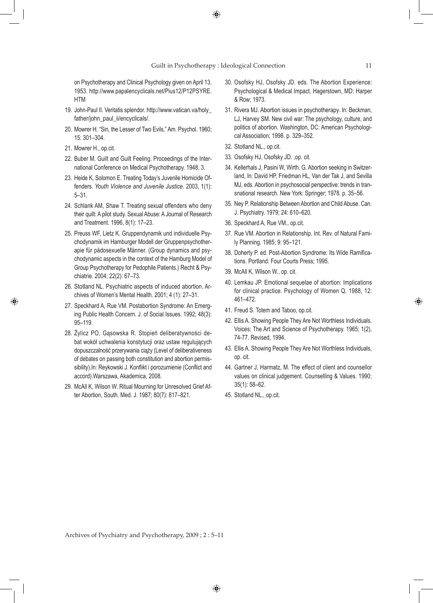on Psychotherapy and Clinical Psychology given on April 13, 1953. http://www.papalencyclicals.net/Pius12/P12PSYRE. HTM

- 19. John-Paul II. Veritatis splendor. http://www.vatican.va/holy\_ father/john\_paul\_ii/encyclicals/.
- 20. Mowrer H. "Sin, the Lesser of Two Evils," Am. Psychol. 1960; 15: 301–304.
- 21. Mowrer H., op.cit.

⊕

- 22. Buber M. Guilt and Guilt Feeling. Proceedings of the International Conference on Medical Psychotherapy. 1948, 3.
- 23. Heide K, Solomon E. Treating Today's Juvenile Homicide Offenders. *Youth Violence and Juvenile Justice.* 2003, 1(1): 5–31.
- 24. Schlank AM, Shaw T. Treating sexual offenders who deny their quilt: A pilot study. Sexual Abuse: A Journal of Research and Treatment. 1996, 8(1): 17–23.
- 25. Preuss WF, Lietz K. Gruppendynamik und individuelle Psychodynamik im Hamburger Modell der Gruppenpsychotherapie für pädosexuelle Männer. (Group dynamics and psychodynamic aspects in the context of the Hamburg Model of Group Psychotherapy for Pedophile Patients.) Recht & Psychiatrie. 2004; 22(2): 67–73.
- 26. Stotland NL. Psychiatric aspects of induced abortion. Archives of Women's Mental Health. 2001; 4 (1): 27–31.
- 27. Speckhard A, Rue VM. Postabortion Syndrome: An Emerging Public Health Concern. J. of Social Issues. 1992; 48(3): 95–119.
- 28. Żylicz PO, Gąsowska R. Stopień deliberatywności debat wokół uchwalenia konstytucji oraz ustaw regulujących dopuszczalność przerywania ciąży (Level of deliberativeness of debates on passing both constitution and abortion permissibility).In: Reykowski J. Konflikt i porozumienie (Conflict and accord).Warszawa, Akademica, 2008.
- 29. McAll K, Wilson W. Ritual Mourning for Unresolved Grief After Abortion, South. Med. J. 1987; 80(7): 817–821.
- 30. Osofsky HJ, Osofsky JD. eds. The Abortion Experience: Psychological & Medical Impact. Hagerstown, MD: Harper & Row; 1973.
- 31. Rivera MJ. Abortion issues in psychotherapy. In: Beckman, LJ, Harvey SM. New civil war: The psychology, culture, and politics of abortion. Washington, DC: American Psychological Association; 1998. p. 329–352.
- 32. Stotland NL., op.cit.
- 33. Osofsky HJ, Osofsky JD. ,op. cit.
- 34. Kellerhals J, Pasini W, Wirth. G. Abortion seeking in Switzerland, In: David HP, Friedman HL, Van der Tak J, and Sevilla MJ, eds. Abortion in psychosocial perspective: trends in transnational research. New York: Springer; 1978. p. 35–56.
- 35. Ney P. Relationship Between Abortion and Child Abuse. Can. J. Psychiatry. 1979; 24: 610–620.
- 36. Speckhard A, Rue VM., op.cit.
- 37. Rue VM. Abortion in Relationship. Int. Rev. of Natural Family Planning. 1985; 9: 95–121.
- 38. Doherty P. ed. Post-Abortion Syndrome: Its Wide Ramifications. Portland: Four Courts Press; 1995.
- 39. McAll K, Wilson W., op. cit.
- 40. Lemkau JP. Emotional sequelae of abortion: Implications for clinical practice. Psychology of Women Q. 1988, 12: 461–472.

◈

- 41. Freud S. Totem and Taboo, op.cit.
- 42. Ellis A. Showing People They Are Not Worthless Individuals. Voices: The Art and Science of Psychotherapy. 1965; 1(2), 74-77. Revised, 1994.
- 43. Ellis A. Showing People They Are Not Worthless Individuals, op. cit.
- 44. Gartner J, Harmatz, M. The effect of client and counsellor values on clinical judgement. Counselling & Values. 1990; 35(1): 58–62.
- 45. Stotland NL., op.cit.

Archives of Psychiatry and Psychotherapy, 2009 ; 2 : 5–11